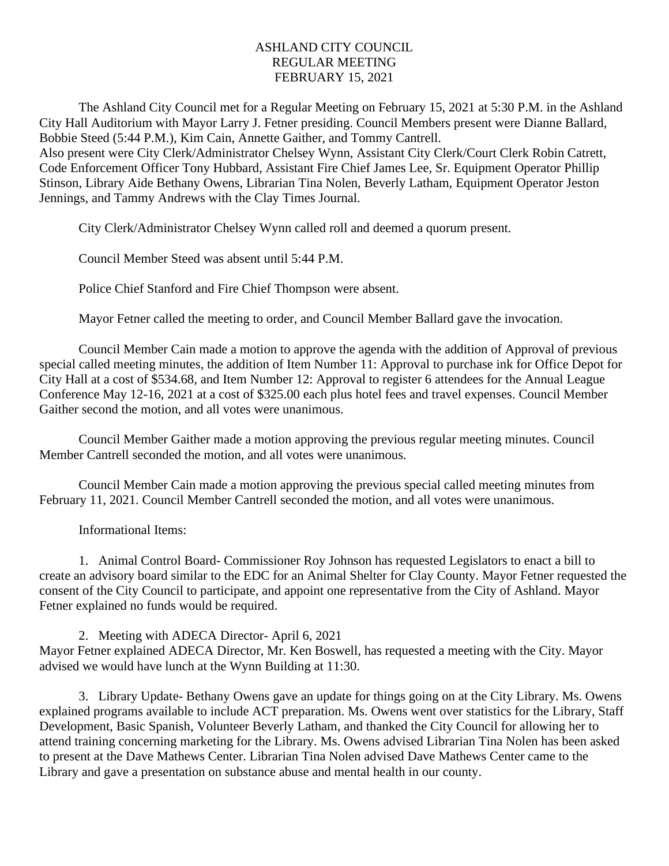## ASHLAND CITY COUNCIL REGULAR MEETING FEBRUARY 15, 2021

The Ashland City Council met for a Regular Meeting on February 15, 2021 at 5:30 P.M. in the Ashland City Hall Auditorium with Mayor Larry J. Fetner presiding. Council Members present were Dianne Ballard, Bobbie Steed (5:44 P.M.), Kim Cain, Annette Gaither, and Tommy Cantrell.

Also present were City Clerk/Administrator Chelsey Wynn, Assistant City Clerk/Court Clerk Robin Catrett, Code Enforcement Officer Tony Hubbard, Assistant Fire Chief James Lee, Sr. Equipment Operator Phillip Stinson, Library Aide Bethany Owens, Librarian Tina Nolen, Beverly Latham, Equipment Operator Jeston Jennings, and Tammy Andrews with the Clay Times Journal.

City Clerk/Administrator Chelsey Wynn called roll and deemed a quorum present.

Council Member Steed was absent until 5:44 P.M.

Police Chief Stanford and Fire Chief Thompson were absent.

Mayor Fetner called the meeting to order, and Council Member Ballard gave the invocation.

Council Member Cain made a motion to approve the agenda with the addition of Approval of previous special called meeting minutes, the addition of Item Number 11: Approval to purchase ink for Office Depot for City Hall at a cost of \$534.68, and Item Number 12: Approval to register 6 attendees for the Annual League Conference May 12-16, 2021 at a cost of \$325.00 each plus hotel fees and travel expenses. Council Member Gaither second the motion, and all votes were unanimous.

Council Member Gaither made a motion approving the previous regular meeting minutes. Council Member Cantrell seconded the motion, and all votes were unanimous.

Council Member Cain made a motion approving the previous special called meeting minutes from February 11, 2021. Council Member Cantrell seconded the motion, and all votes were unanimous.

Informational Items:

1. Animal Control Board- Commissioner Roy Johnson has requested Legislators to enact a bill to create an advisory board similar to the EDC for an Animal Shelter for Clay County. Mayor Fetner requested the consent of the City Council to participate, and appoint one representative from the City of Ashland. Mayor Fetner explained no funds would be required.

2. Meeting with ADECA Director- April 6, 2021 Mayor Fetner explained ADECA Director, Mr. Ken Boswell, has requested a meeting with the City. Mayor advised we would have lunch at the Wynn Building at 11:30.

3. Library Update- Bethany Owens gave an update for things going on at the City Library. Ms. Owens explained programs available to include ACT preparation. Ms. Owens went over statistics for the Library, Staff Development, Basic Spanish, Volunteer Beverly Latham, and thanked the City Council for allowing her to attend training concerning marketing for the Library. Ms. Owens advised Librarian Tina Nolen has been asked to present at the Dave Mathews Center. Librarian Tina Nolen advised Dave Mathews Center came to the Library and gave a presentation on substance abuse and mental health in our county.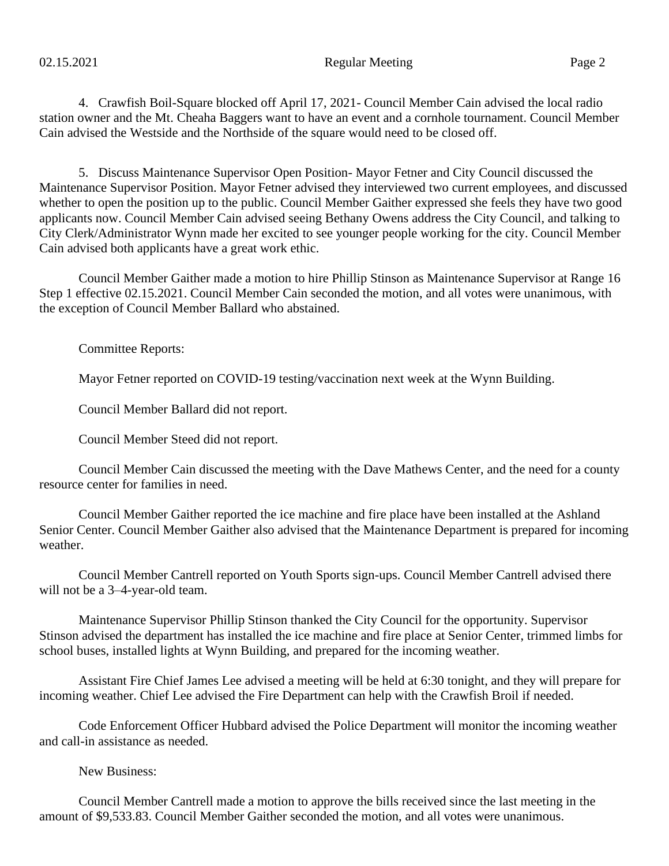4. Crawfish Boil-Square blocked off April 17, 2021- Council Member Cain advised the local radio station owner and the Mt. Cheaha Baggers want to have an event and a cornhole tournament. Council Member Cain advised the Westside and the Northside of the square would need to be closed off.

5. Discuss Maintenance Supervisor Open Position- Mayor Fetner and City Council discussed the Maintenance Supervisor Position. Mayor Fetner advised they interviewed two current employees, and discussed whether to open the position up to the public. Council Member Gaither expressed she feels they have two good applicants now. Council Member Cain advised seeing Bethany Owens address the City Council, and talking to City Clerk/Administrator Wynn made her excited to see younger people working for the city. Council Member Cain advised both applicants have a great work ethic.

Council Member Gaither made a motion to hire Phillip Stinson as Maintenance Supervisor at Range 16 Step 1 effective 02.15.2021. Council Member Cain seconded the motion, and all votes were unanimous, with the exception of Council Member Ballard who abstained.

Committee Reports:

Mayor Fetner reported on COVID-19 testing/vaccination next week at the Wynn Building.

Council Member Ballard did not report.

Council Member Steed did not report.

Council Member Cain discussed the meeting with the Dave Mathews Center, and the need for a county resource center for families in need.

Council Member Gaither reported the ice machine and fire place have been installed at the Ashland Senior Center. Council Member Gaither also advised that the Maintenance Department is prepared for incoming weather.

Council Member Cantrell reported on Youth Sports sign-ups. Council Member Cantrell advised there will not be a 3–4-year-old team.

Maintenance Supervisor Phillip Stinson thanked the City Council for the opportunity. Supervisor Stinson advised the department has installed the ice machine and fire place at Senior Center, trimmed limbs for school buses, installed lights at Wynn Building, and prepared for the incoming weather.

Assistant Fire Chief James Lee advised a meeting will be held at 6:30 tonight, and they will prepare for incoming weather. Chief Lee advised the Fire Department can help with the Crawfish Broil if needed.

Code Enforcement Officer Hubbard advised the Police Department will monitor the incoming weather and call-in assistance as needed.

New Business:

Council Member Cantrell made a motion to approve the bills received since the last meeting in the amount of \$9,533.83. Council Member Gaither seconded the motion, and all votes were unanimous.